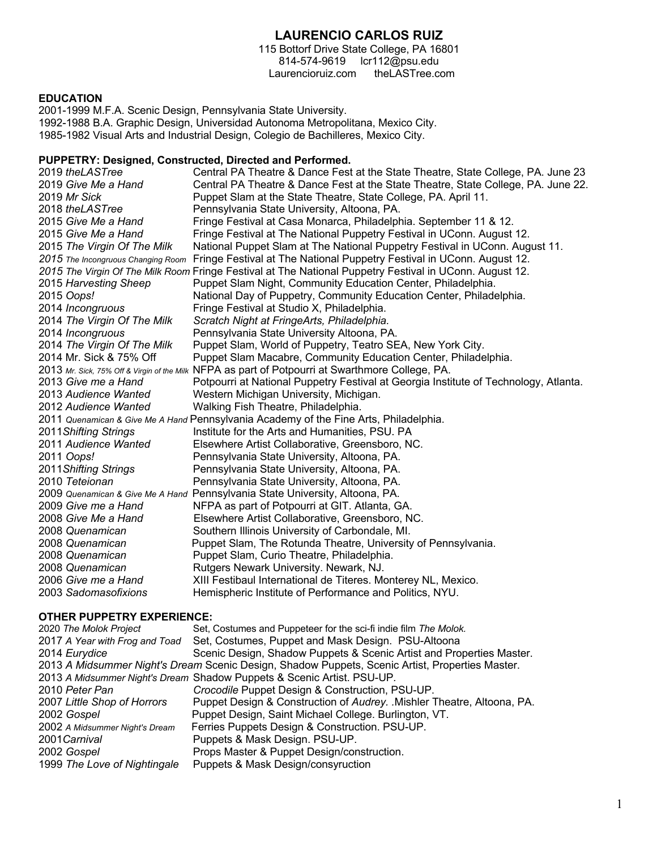# **LAURENCIO CARLOS RUIZ**

115 Bottorf Drive State College, PA 16801 814-574-9619 lcr112@psu.edu Laurencioruiz.com theLASTree.com

#### **EDUCATION**

2001-1999 M.F.A. Scenic Design, Pennsylvania State University. 1992-1988 B.A. Graphic Design, Universidad Autonoma Metropolitana, Mexico City. 1985-1982 Visual Arts and Industrial Design, Colegio de Bachilleres, Mexico City.

#### **PUPPETRY: Designed, Constructed, Directed and Performed.**

 *theLASTree* Central PA Theatre & Dance Fest at the State Theatre, State College, PA. June 23 *Give Me a Hand* Central PA Theatre & Dance Fest at the State Theatre, State College, PA. June 22. *Mr Sick* Puppet Slam at the State Theatre, State College, PA. April 11. *theLASTree* Pennsylvania State University, Altoona, PA. *Give Me a Hand* Fringe Festival at Casa Monarca, Philadelphia. September 11 & 12. *Give Me a Hand* Fringe Festival at The National Puppetry Festival in UConn. August 12. *The Virgin Of The Milk* National Puppet Slam at The National Puppetry Festival in UConn. August 11. *2015 The Incongruous Changing Room* Fringe Festival at The National Puppetry Festival in UConn. August 12. *2015 The Virgin Of The Milk Room* Fringe Festival at The National Puppetry Festival in UConn. August 12. *Harvesting Sheep* Puppet Slam Night, Community Education Center, Philadelphia. *Oops!* National Day of Puppetry, Community Education Center, Philadelphia. *Incongruous* Fringe Festival at Studio X, Philadelphia. *The Virgin Of The Milk Scratch Night at FringeArts, Philadelphia. Incongruous* Pennsylvania State University Altoona, PA. *The Virgin Of The Milk* Puppet Slam, World of Puppetry, Teatro SEA, New York City. 2014 Mr. Sick & 75% Off Puppet Slam Macabre, Community Education Center, Philadelphia. *Mr. Sick, 75% Off & Virgin of the Milk* NFPA as part of Potpourri at Swarthmore College, PA. *Give me a Hand* Potpourri at National Puppetry Festival at Georgia Institute of Technology, Atlanta. *Audience Wanted* Western Michigan University, Michigan. *Audience Wanted* Walking Fish Theatre, Philadelphia. *Quenamican & Give Me A Hand* Pennsylvania Academy of the Fine Arts, Philadelphia. *Shifting Strings* Institute for the Arts and Humanities, PSU. PA 2011 *Audience Wanted* Elsewhere Artist Collaborative, Greensboro, NC. *Oops!* Pennsylvania State University, Altoona, PA. *Shifting Strings* Pennsylvania State University, Altoona, PA. *Teteionan* Pennsylvania State University, Altoona, PA. *Quenamican & Give Me A Hand* Pennsylvania State University, Altoona, PA. *Give me a Hand* NFPA as part of Potpourri at GIT. Atlanta, GA. *Give Me a Hand* Elsewhere Artist Collaborative, Greensboro, NC. *Quenamican* Southern Illinois University of Carbondale, MI. *Quenamican* Puppet Slam, The Rotunda Theatre, University of Pennsylvania. *Quenamican* Puppet Slam, Curio Theatre, Philadelphia. *Quenamican* Rutgers Newark University. Newark, NJ. *Give me a Hand* XIII Festibaul International de Titeres. Monterey NL, Mexico. *Sadomasofixions* Hemispheric Institute of Performance and Politics, NYU.

#### **OTHER PUPPETRY EXPERIENCE:**

| 2020 The Molok Project         | Set, Costumes and Puppeteer for the sci-fi indie film The Molok.                                |
|--------------------------------|-------------------------------------------------------------------------------------------------|
| 2017 A Year with Frog and Toad | Set, Costumes, Puppet and Mask Design. PSU-Altoona                                              |
| 2014 Eurydice                  | Scenic Design, Shadow Puppets & Scenic Artist and Properties Master.                            |
|                                | 2013 A Midsummer Night's Dream Scenic Design, Shadow Puppets, Scenic Artist, Properties Master. |
|                                | 2013 A Midsummer Night's Dream Shadow Puppets & Scenic Artist. PSU-UP.                          |
| 2010 Peter Pan                 | Crocodile Puppet Design & Construction, PSU-UP.                                                 |
| 2007 Little Shop of Horrors    | Puppet Design & Construction of Audrey. . Mishler Theatre, Altoona, PA.                         |
| 2002 Gospel                    | Puppet Design, Saint Michael College. Burlington, VT.                                           |
| 2002 A Midsummer Night's Dream | Ferries Puppets Design & Construction. PSU-UP.                                                  |
| 2001 Carnival                  | Puppets & Mask Design. PSU-UP.                                                                  |
| 2002 Gospel                    | Props Master & Puppet Design/construction.                                                      |
| 1999 The Love of Nightingale   | <b>Puppets &amp; Mask Design/consyruction</b>                                                   |